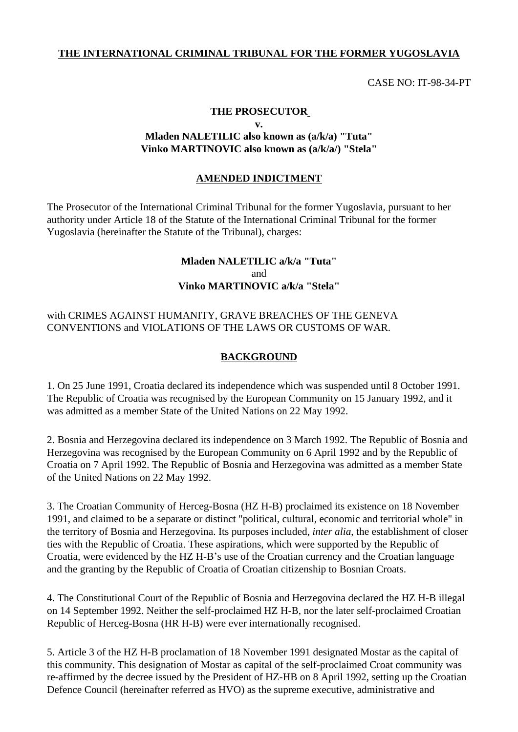## **THE INTERNATIONAL CRIMINAL TRIBUNAL FOR THE FORMER YUGOSLAVIA**

CASE NO: IT-98-34-PT

#### **THE PROSECUTOR**

**v.** 

## **Mladen NALETILIC also known as (a/k/a) "Tuta" Vinko MARTINOVIC also known as (a/k/a/) "Stela"**

#### **AMENDED INDICTMENT**

The Prosecutor of the International Criminal Tribunal for the former Yugoslavia, pursuant to her authority under Article 18 of the Statute of the International Criminal Tribunal for the former Yugoslavia (hereinafter the Statute of the Tribunal), charges:

## **Mladen NALETILIC a/k/a "Tuta"**  and **Vinko MARTINOVIC a/k/a "Stela"**

#### with CRIMES AGAINST HUMANITY, GRAVE BREACHES OF THE GENEVA CONVENTIONS and VIOLATIONS OF THE LAWS OR CUSTOMS OF WAR.

#### **BACKGROUND**

1. On 25 June 1991, Croatia declared its independence which was suspended until 8 October 1991. The Republic of Croatia was recognised by the European Community on 15 January 1992, and it was admitted as a member State of the United Nations on 22 May 1992.

2. Bosnia and Herzegovina declared its independence on 3 March 1992. The Republic of Bosnia and Herzegovina was recognised by the European Community on 6 April 1992 and by the Republic of Croatia on 7 April 1992. The Republic of Bosnia and Herzegovina was admitted as a member State of the United Nations on 22 May 1992.

3. The Croatian Community of Herceg-Bosna (HZ H-B) proclaimed its existence on 18 November 1991, and claimed to be a separate or distinct "political, cultural, economic and territorial whole" in the territory of Bosnia and Herzegovina. Its purposes included, *inter alia*, the establishment of closer ties with the Republic of Croatia. These aspirations, which were supported by the Republic of Croatia, were evidenced by the HZ H-B's use of the Croatian currency and the Croatian language and the granting by the Republic of Croatia of Croatian citizenship to Bosnian Croats.

4. The Constitutional Court of the Republic of Bosnia and Herzegovina declared the HZ H-B illegal on 14 September 1992. Neither the self-proclaimed HZ H-B, nor the later self-proclaimed Croatian Republic of Herceg-Bosna (HR H-B) were ever internationally recognised.

5. Article 3 of the HZ H-B proclamation of 18 November 1991 designated Mostar as the capital of this community. This designation of Mostar as capital of the self-proclaimed Croat community was re-affirmed by the decree issued by the President of HZ-HB on 8 April 1992, setting up the Croatian Defence Council (hereinafter referred as HVO) as the supreme executive, administrative and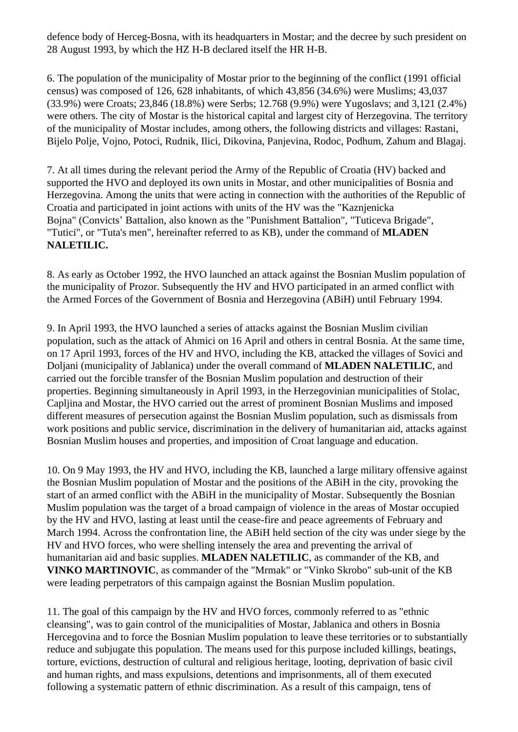defence body of Herceg-Bosna, with its headquarters in Mostar; and the decree by such president on 28 August 1993, by which the HZ H-B declared itself the HR H-B.

6. The population of the municipality of Mostar prior to the beginning of the conflict (1991 official census) was composed of 126, 628 inhabitants, of which 43,856 (34.6%) were Muslims; 43,037 (33.9%) were Croats; 23,846 (18.8%) were Serbs; 12.768 (9.9%) were Yugoslavs; and 3,121 (2.4%) were others. The city of Mostar is the historical capital and largest city of Herzegovina. The territory of the municipality of Mostar includes, among others, the following districts and villages: Rastani, Bijelo Polje, Vojno, Potoci, Rudnik, Ilici, Dikovina, Panjevina, Rodoc, Podhum, Zahum and Blagaj.

7. At all times during the relevant period the Army of the Republic of Croatia (HV) backed and supported the HVO and deployed its own units in Mostar, and other municipalities of Bosnia and Herzegovina. Among the units that were acting in connection with the authorities of the Republic of Croatia and participated in joint actions with units of the HV was the "Kaznjenicka Bojna" (Convicts' Battalion, also known as the "Punishment Battalion", "Tuticeva Brigade", "Tutici", or "Tuta's men", hereinafter referred to as KB), under the command of **MLADEN NALETILIC.**

8. As early as October 1992, the HVO launched an attack against the Bosnian Muslim population of the municipality of Prozor. Subsequently the HV and HVO participated in an armed conflict with the Armed Forces of the Government of Bosnia and Herzegovina (ABiH) until February 1994.

9. In April 1993, the HVO launched a series of attacks against the Bosnian Muslim civilian population, such as the attack of Ahmici on 16 April and others in central Bosnia. At the same time, on 17 April 1993, forces of the HV and HVO, including the KB, attacked the villages of Sovici and Doljani (municipality of Jablanica) under the overall command of **MLADEN NALETILIC**, and carried out the forcible transfer of the Bosnian Muslim population and destruction of their properties. Beginning simultaneously in April 1993, in the Herzegovinian municipalities of Stolac, Capljina and Mostar, the HVO carried out the arrest of prominent Bosnian Muslims and imposed different measures of persecution against the Bosnian Muslim population, such as dismissals from work positions and public service, discrimination in the delivery of humanitarian aid, attacks against Bosnian Muslim houses and properties, and imposition of Croat language and education.

10. On 9 May 1993, the HV and HVO, including the KB, launched a large military offensive against the Bosnian Muslim population of Mostar and the positions of the ABiH in the city, provoking the start of an armed conflict with the ABiH in the municipality of Mostar. Subsequently the Bosnian Muslim population was the target of a broad campaign of violence in the areas of Mostar occupied by the HV and HVO, lasting at least until the cease-fire and peace agreements of February and March 1994. Across the confrontation line, the ABiH held section of the city was under siege by the HV and HVO forces, who were shelling intensely the area and preventing the arrival of humanitarian aid and basic supplies. **MLADEN NALETILIC**, as commander of the KB, and **VINKO MARTINOVIC**, as commander of the "Mrmak" or "Vinko Skrobo" sub-unit of the KB were leading perpetrators of this campaign against the Bosnian Muslim population.

11. The goal of this campaign by the HV and HVO forces, commonly referred to as "ethnic cleansing", was to gain control of the municipalities of Mostar, Jablanica and others in Bosnia Hercegovina and to force the Bosnian Muslim population to leave these territories or to substantially reduce and subjugate this population. The means used for this purpose included killings, beatings, torture, evictions, destruction of cultural and religious heritage, looting, deprivation of basic civil and human rights, and mass expulsions, detentions and imprisonments, all of them executed following a systematic pattern of ethnic discrimination. As a result of this campaign, tens of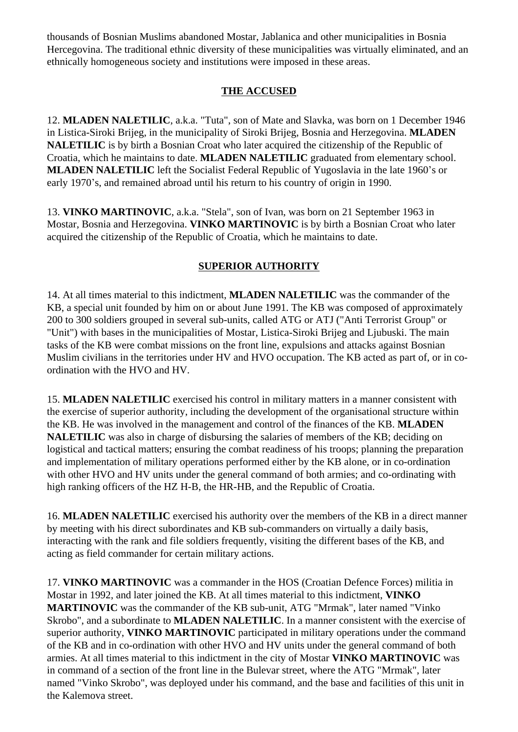thousands of Bosnian Muslims abandoned Mostar, Jablanica and other municipalities in Bosnia Hercegovina. The traditional ethnic diversity of these municipalities was virtually eliminated, and an ethnically homogeneous society and institutions were imposed in these areas.

## **THE ACCUSED**

12. **MLADEN NALETILIC**, a.k.a. "Tuta", son of Mate and Slavka, was born on 1 December 1946 in Listica-Siroki Brijeg, in the municipality of Siroki Brijeg, Bosnia and Herzegovina. **MLADEN NALETILIC** is by birth a Bosnian Croat who later acquired the citizenship of the Republic of Croatia, which he maintains to date. **MLADEN NALETILIC** graduated from elementary school. **MLADEN NALETILIC** left the Socialist Federal Republic of Yugoslavia in the late 1960's or early 1970's, and remained abroad until his return to his country of origin in 1990.

13. **VINKO MARTINOVIC**, a.k.a. "Stela", son of Ivan, was born on 21 September 1963 in Mostar, Bosnia and Herzegovina. **VINKO MARTINOVIC** is by birth a Bosnian Croat who later acquired the citizenship of the Republic of Croatia, which he maintains to date.

# **SUPERIOR AUTHORITY**

14. At all times material to this indictment, **MLADEN NALETILIC** was the commander of the KB, a special unit founded by him on or about June 1991. The KB was composed of approximately 200 to 300 soldiers grouped in several sub-units, called ATG or ATJ ("Anti Terrorist Group" or "Unit") with bases in the municipalities of Mostar, Listica-Siroki Brijeg and Ljubuski. The main tasks of the KB were combat missions on the front line, expulsions and attacks against Bosnian Muslim civilians in the territories under HV and HVO occupation. The KB acted as part of, or in coordination with the HVO and HV.

15. **MLADEN NALETILIC** exercised his control in military matters in a manner consistent with the exercise of superior authority, including the development of the organisational structure within the KB. He was involved in the management and control of the finances of the KB. **MLADEN NALETILIC** was also in charge of disbursing the salaries of members of the KB; deciding on logistical and tactical matters; ensuring the combat readiness of his troops; planning the preparation and implementation of military operations performed either by the KB alone, or in co-ordination with other HVO and HV units under the general command of both armies; and co-ordinating with high ranking officers of the HZ H-B, the HR-HB, and the Republic of Croatia.

16. **MLADEN NALETILIC** exercised his authority over the members of the KB in a direct manner by meeting with his direct subordinates and KB sub-commanders on virtually a daily basis, interacting with the rank and file soldiers frequently, visiting the different bases of the KB, and acting as field commander for certain military actions.

17. **VINKO MARTINOVIC** was a commander in the HOS (Croatian Defence Forces) militia in Mostar in 1992, and later joined the KB. At all times material to this indictment, **VINKO MARTINOVIC** was the commander of the KB sub-unit, ATG "Mrmak", later named "Vinko Skrobo", and a subordinate to **MLADEN NALETILIC**. In a manner consistent with the exercise of superior authority, **VINKO MARTINOVIC** participated in military operations under the command of the KB and in co-ordination with other HVO and HV units under the general command of both armies. At all times material to this indictment in the city of Mostar **VINKO MARTINOVIC** was in command of a section of the front line in the Bulevar street, where the ATG "Mrmak", later named "Vinko Skrobo", was deployed under his command, and the base and facilities of this unit in the Kalemova street.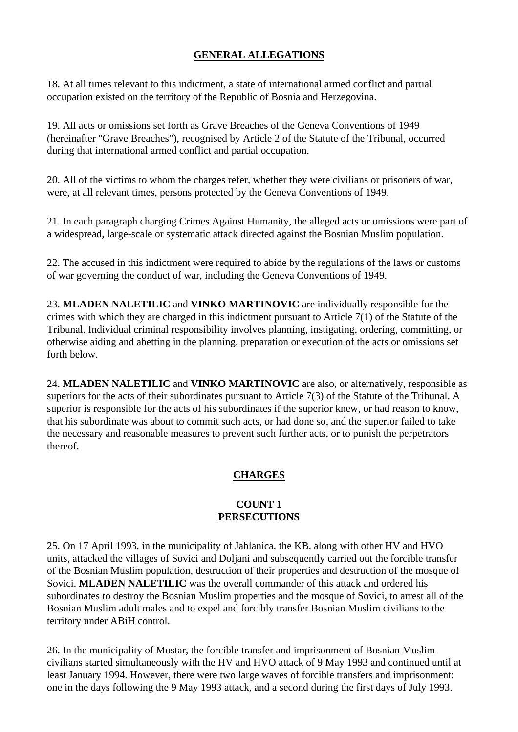## **GENERAL ALLEGATIONS**

18. At all times relevant to this indictment, a state of international armed conflict and partial occupation existed on the territory of the Republic of Bosnia and Herzegovina.

19. All acts or omissions set forth as Grave Breaches of the Geneva Conventions of 1949 (hereinafter "Grave Breaches"), recognised by Article 2 of the Statute of the Tribunal, occurred during that international armed conflict and partial occupation.

20. All of the victims to whom the charges refer, whether they were civilians or prisoners of war, were, at all relevant times, persons protected by the Geneva Conventions of 1949.

21. In each paragraph charging Crimes Against Humanity, the alleged acts or omissions were part of a widespread, large-scale or systematic attack directed against the Bosnian Muslim population.

22. The accused in this indictment were required to abide by the regulations of the laws or customs of war governing the conduct of war, including the Geneva Conventions of 1949.

23. **MLADEN NALETILIC** and **VINKO MARTINOVIC** are individually responsible for the crimes with which they are charged in this indictment pursuant to Article 7(1) of the Statute of the Tribunal. Individual criminal responsibility involves planning, instigating, ordering, committing, or otherwise aiding and abetting in the planning, preparation or execution of the acts or omissions set forth below.

24. **MLADEN NALETILIC** and **VINKO MARTINOVIC** are also, or alternatively, responsible as superiors for the acts of their subordinates pursuant to Article 7(3) of the Statute of the Tribunal. A superior is responsible for the acts of his subordinates if the superior knew, or had reason to know, that his subordinate was about to commit such acts, or had done so, and the superior failed to take the necessary and reasonable measures to prevent such further acts, or to punish the perpetrators thereof.

# **CHARGES**

## **COUNT 1 PERSECUTIONS**

25. On 17 April 1993, in the municipality of Jablanica, the KB, along with other HV and HVO units, attacked the villages of Sovici and Doljani and subsequently carried out the forcible transfer of the Bosnian Muslim population, destruction of their properties and destruction of the mosque of Sovici. **MLADEN NALETILIC** was the overall commander of this attack and ordered his subordinates to destroy the Bosnian Muslim properties and the mosque of Sovici, to arrest all of the Bosnian Muslim adult males and to expel and forcibly transfer Bosnian Muslim civilians to the territory under ABiH control.

26. In the municipality of Mostar, the forcible transfer and imprisonment of Bosnian Muslim civilians started simultaneously with the HV and HVO attack of 9 May 1993 and continued until at least January 1994. However, there were two large waves of forcible transfers and imprisonment: one in the days following the 9 May 1993 attack, and a second during the first days of July 1993.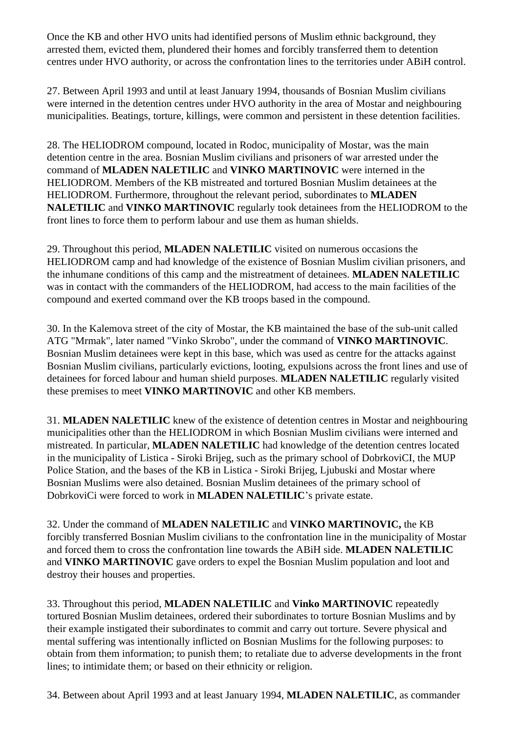Once the KB and other HVO units had identified persons of Muslim ethnic background, they arrested them, evicted them, plundered their homes and forcibly transferred them to detention centres under HVO authority, or across the confrontation lines to the territories under ABiH control.

27. Between April 1993 and until at least January 1994, thousands of Bosnian Muslim civilians were interned in the detention centres under HVO authority in the area of Mostar and neighbouring municipalities. Beatings, torture, killings, were common and persistent in these detention facilities.

28. The HELIODROM compound, located in Rodoc, municipality of Mostar, was the main detention centre in the area. Bosnian Muslim civilians and prisoners of war arrested under the command of **MLADEN NALETILIC** and **VINKO MARTINOVIC** were interned in the HELIODROM. Members of the KB mistreated and tortured Bosnian Muslim detainees at the HELIODROM. Furthermore, throughout the relevant period, subordinates to **MLADEN NALETILIC** and **VINKO MARTINOVIC** regularly took detainees from the HELIODROM to the front lines to force them to perform labour and use them as human shields.

29. Throughout this period, **MLADEN NALETILIC** visited on numerous occasions the HELIODROM camp and had knowledge of the existence of Bosnian Muslim civilian prisoners, and the inhumane conditions of this camp and the mistreatment of detainees. **MLADEN NALETILIC**  was in contact with the commanders of the HELIODROM, had access to the main facilities of the compound and exerted command over the KB troops based in the compound.

30. In the Kalemova street of the city of Mostar, the KB maintained the base of the sub-unit called ATG "Mrmak", later named "Vinko Skrobo", under the command of **VINKO MARTINOVIC**. Bosnian Muslim detainees were kept in this base, which was used as centre for the attacks against Bosnian Muslim civilians, particularly evictions, looting, expulsions across the front lines and use of detainees for forced labour and human shield purposes. **MLADEN NALETILIC** regularly visited these premises to meet **VINKO MARTINOVIC** and other KB members.

31. **MLADEN NALETILIC** knew of the existence of detention centres in Mostar and neighbouring municipalities other than the HELIODROM in which Bosnian Muslim civilians were interned and mistreated. In particular, **MLADEN NALETILIC** had knowledge of the detention centres located in the municipality of Listica - Siroki Brijeg, such as the primary school of DobrkoviCI, the MUP Police Station, and the bases of the KB in Listica - Siroki Brijeg, Ljubuski and Mostar where Bosnian Muslims were also detained. Bosnian Muslim detainees of the primary school of DobrkoviCi were forced to work in **MLADEN NALETILIC**'s private estate.

32. Under the command of **MLADEN NALETILIC** and **VINKO MARTINOVIC,** the KB forcibly transferred Bosnian Muslim civilians to the confrontation line in the municipality of Mostar and forced them to cross the confrontation line towards the ABiH side. **MLADEN NALETILIC** and **VINKO MARTINOVIC** gave orders to expel the Bosnian Muslim population and loot and destroy their houses and properties.

33. Throughout this period, **MLADEN NALETILIC** and **Vinko MARTINOVIC** repeatedly tortured Bosnian Muslim detainees, ordered their subordinates to torture Bosnian Muslims and by their example instigated their subordinates to commit and carry out torture. Severe physical and mental suffering was intentionally inflicted on Bosnian Muslims for the following purposes: to obtain from them information; to punish them; to retaliate due to adverse developments in the front lines; to intimidate them; or based on their ethnicity or religion.

34. Between about April 1993 and at least January 1994, **MLADEN NALETILIC**, as commander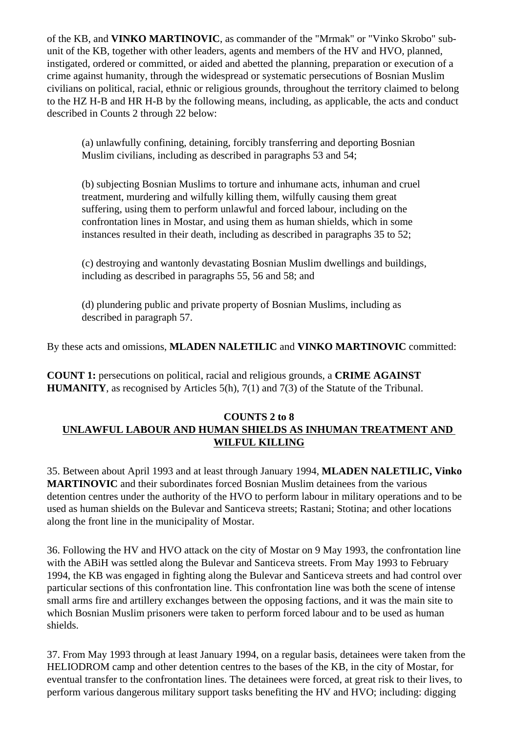of the KB, and **VINKO MARTINOVIC**, as commander of the "Mrmak" or "Vinko Skrobo" subunit of the KB, together with other leaders, agents and members of the HV and HVO, planned, instigated, ordered or committed, or aided and abetted the planning, preparation or execution of a crime against humanity, through the widespread or systematic persecutions of Bosnian Muslim civilians on political, racial, ethnic or religious grounds, throughout the territory claimed to belong to the HZ H-B and HR H-B by the following means, including, as applicable, the acts and conduct described in Counts 2 through 22 below:

(a) unlawfully confining, detaining, forcibly transferring and deporting Bosnian Muslim civilians, including as described in paragraphs 53 and 54;

(b) subjecting Bosnian Muslims to torture and inhumane acts, inhuman and cruel treatment, murdering and wilfully killing them, wilfully causing them great suffering, using them to perform unlawful and forced labour, including on the confrontation lines in Mostar, and using them as human shields, which in some instances resulted in their death, including as described in paragraphs 35 to 52;

(c) destroying and wantonly devastating Bosnian Muslim dwellings and buildings, including as described in paragraphs 55, 56 and 58; and

(d) plundering public and private property of Bosnian Muslims, including as described in paragraph 57.

By these acts and omissions, **MLADEN NALETILIC** and **VINKO MARTINOVIC** committed:

**COUNT 1:** persecutions on political, racial and religious grounds, a **CRIME AGAINST HUMANITY**, as recognised by Articles 5(h), 7(1) and 7(3) of the Statute of the Tribunal.

## **COUNTS 2 to 8 UNLAWFUL LABOUR AND HUMAN SHIELDS AS INHUMAN TREATMENT AND WILFUL KILLING**

35. Between about April 1993 and at least through January 1994, **MLADEN NALETILIC, Vinko MARTINOVIC** and their subordinates forced Bosnian Muslim detainees from the various detention centres under the authority of the HVO to perform labour in military operations and to be used as human shields on the Bulevar and Santiceva streets; Rastani; Stotina; and other locations along the front line in the municipality of Mostar.

36. Following the HV and HVO attack on the city of Mostar on 9 May 1993, the confrontation line with the ABiH was settled along the Bulevar and Santiceva streets. From May 1993 to February 1994, the KB was engaged in fighting along the Bulevar and Santiceva streets and had control over particular sections of this confrontation line. This confrontation line was both the scene of intense small arms fire and artillery exchanges between the opposing factions, and it was the main site to which Bosnian Muslim prisoners were taken to perform forced labour and to be used as human shields.

37. From May 1993 through at least January 1994, on a regular basis, detainees were taken from the HELIODROM camp and other detention centres to the bases of the KB, in the city of Mostar, for eventual transfer to the confrontation lines. The detainees were forced, at great risk to their lives, to perform various dangerous military support tasks benefiting the HV and HVO; including: digging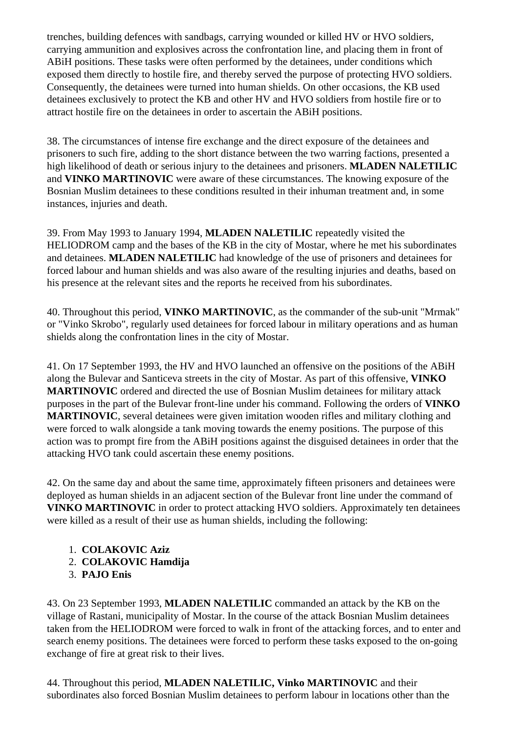trenches, building defences with sandbags, carrying wounded or killed HV or HVO soldiers, carrying ammunition and explosives across the confrontation line, and placing them in front of ABiH positions. These tasks were often performed by the detainees, under conditions which exposed them directly to hostile fire, and thereby served the purpose of protecting HVO soldiers. Consequently, the detainees were turned into human shields. On other occasions, the KB used detainees exclusively to protect the KB and other HV and HVO soldiers from hostile fire or to attract hostile fire on the detainees in order to ascertain the ABiH positions.

38. The circumstances of intense fire exchange and the direct exposure of the detainees and prisoners to such fire, adding to the short distance between the two warring factions, presented a high likelihood of death or serious injury to the detainees and prisoners. **MLADEN NALETILIC** and **VINKO MARTINOVIC** were aware of these circumstances. The knowing exposure of the Bosnian Muslim detainees to these conditions resulted in their inhuman treatment and, in some instances, injuries and death.

39. From May 1993 to January 1994, **MLADEN NALETILIC** repeatedly visited the HELIODROM camp and the bases of the KB in the city of Mostar, where he met his subordinates and detainees. **MLADEN NALETILIC** had knowledge of the use of prisoners and detainees for forced labour and human shields and was also aware of the resulting injuries and deaths, based on his presence at the relevant sites and the reports he received from his subordinates.

40. Throughout this period, **VINKO MARTINOVIC**, as the commander of the sub-unit "Mrmak" or "Vinko Skrobo", regularly used detainees for forced labour in military operations and as human shields along the confrontation lines in the city of Mostar.

41. On 17 September 1993, the HV and HVO launched an offensive on the positions of the ABiH along the Bulevar and Santiceva streets in the city of Mostar. As part of this offensive, **VINKO MARTINOVIC** ordered and directed the use of Bosnian Muslim detainees for military attack purposes in the part of the Bulevar front-line under his command. Following the orders of **VINKO MARTINOVIC**, several detainees were given imitation wooden rifles and military clothing and were forced to walk alongside a tank moving towards the enemy positions. The purpose of this action was to prompt fire from the ABiH positions against the disguised detainees in order that the attacking HVO tank could ascertain these enemy positions.

42. On the same day and about the same time, approximately fifteen prisoners and detainees were deployed as human shields in an adjacent section of the Bulevar front line under the command of **VINKO MARTINOVIC** in order to protect attacking HVO soldiers. Approximately ten detainees were killed as a result of their use as human shields, including the following:

- 1. **COLAKOVIC Aziz**
- 2. **COLAKOVIC Hamdija**
- 3. **PAJO Enis**

43. On 23 September 1993, **MLADEN NALETILIC** commanded an attack by the KB on the village of Rastani, municipality of Mostar. In the course of the attack Bosnian Muslim detainees taken from the HELIODROM were forced to walk in front of the attacking forces, and to enter and search enemy positions. The detainees were forced to perform these tasks exposed to the on-going exchange of fire at great risk to their lives.

44. Throughout this period, **MLADEN NALETILIC, Vinko MARTINOVIC** and their subordinates also forced Bosnian Muslim detainees to perform labour in locations other than the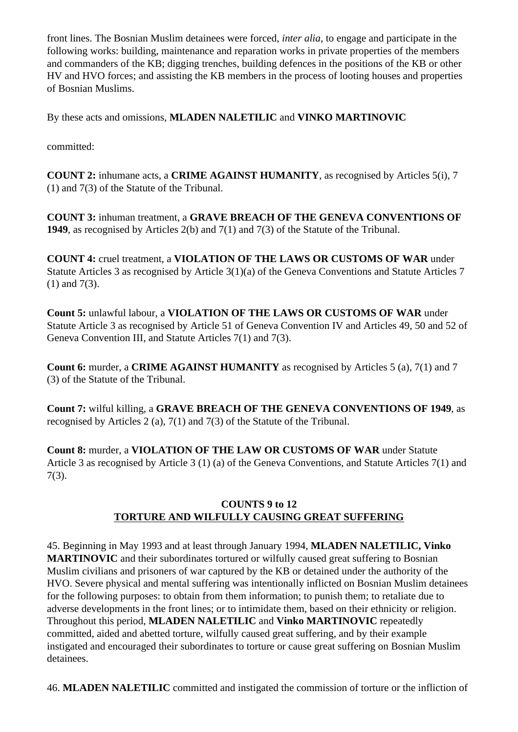front lines. The Bosnian Muslim detainees were forced, *inter alia*, to engage and participate in the following works: building, maintenance and reparation works in private properties of the members and commanders of the KB; digging trenches, building defences in the positions of the KB or other HV and HVO forces; and assisting the KB members in the process of looting houses and properties of Bosnian Muslims.

By these acts and omissions, **MLADEN NALETILIC** and **VINKO MARTINOVIC**

committed:

**COUNT 2:** inhumane acts, a **CRIME AGAINST HUMANITY**, as recognised by Articles 5(i), 7 (1) and 7(3) of the Statute of the Tribunal.

**COUNT 3:** inhuman treatment, a **GRAVE BREACH OF THE GENEVA CONVENTIONS OF 1949**, as recognised by Articles 2(b) and 7(1) and 7(3) of the Statute of the Tribunal.

**COUNT 4:** cruel treatment, a **VIOLATION OF THE LAWS OR CUSTOMS OF WAR** under Statute Articles 3 as recognised by Article 3(1)(a) of the Geneva Conventions and Statute Articles 7 (1) and 7(3).

**Count 5:** unlawful labour, a **VIOLATION OF THE LAWS OR CUSTOMS OF WAR** under Statute Article 3 as recognised by Article 51 of Geneva Convention IV and Articles 49, 50 and 52 of Geneva Convention III, and Statute Articles 7(1) and 7(3).

**Count 6:** murder, a **CRIME AGAINST HUMANITY** as recognised by Articles 5 (a), 7(1) and 7 (3) of the Statute of the Tribunal.

**Count 7:** wilful killing, a **GRAVE BREACH OF THE GENEVA CONVENTIONS OF 1949**, as recognised by Articles 2 (a), 7(1) and 7(3) of the Statute of the Tribunal.

**Count 8:** murder, a **VIOLATION OF THE LAW OR CUSTOMS OF WAR** under Statute Article 3 as recognised by Article 3 (1) (a) of the Geneva Conventions, and Statute Articles 7(1) and 7(3).

## **COUNTS 9 to 12 TORTURE AND WILFULLY CAUSING GREAT SUFFERING**

45. Beginning in May 1993 and at least through January 1994, **MLADEN NALETILIC, Vinko MARTINOVIC** and their subordinates tortured or wilfully caused great suffering to Bosnian Muslim civilians and prisoners of war captured by the KB or detained under the authority of the HVO. Severe physical and mental suffering was intentionally inflicted on Bosnian Muslim detainees for the following purposes: to obtain from them information; to punish them; to retaliate due to adverse developments in the front lines; or to intimidate them, based on their ethnicity or religion. Throughout this period, **MLADEN NALETILIC** and **Vinko MARTINOVIC** repeatedly committed, aided and abetted torture, wilfully caused great suffering, and by their example instigated and encouraged their subordinates to torture or cause great suffering on Bosnian Muslim detainees.

46. **MLADEN NALETILIC** committed and instigated the commission of torture or the infliction of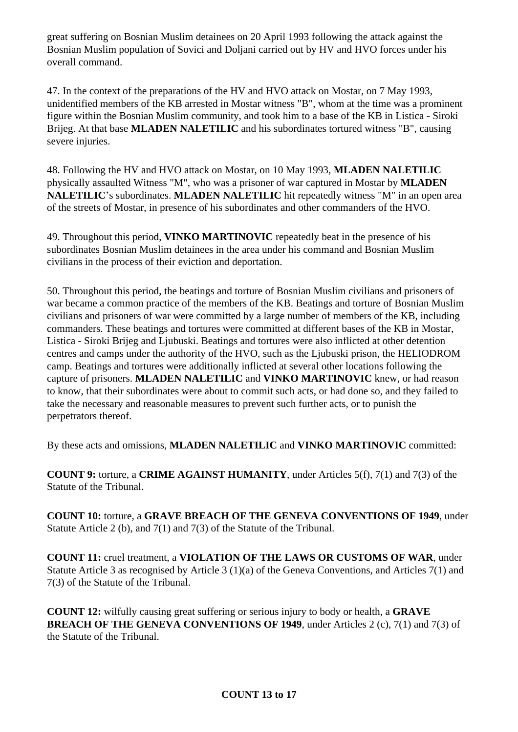great suffering on Bosnian Muslim detainees on 20 April 1993 following the attack against the Bosnian Muslim population of Sovici and Doljani carried out by HV and HVO forces under his overall command.

47. In the context of the preparations of the HV and HVO attack on Mostar, on 7 May 1993, unidentified members of the KB arrested in Mostar witness "B", whom at the time was a prominent figure within the Bosnian Muslim community, and took him to a base of the KB in Listica - Siroki Brijeg. At that base **MLADEN NALETILIC** and his subordinates tortured witness "B", causing severe injuries.

48. Following the HV and HVO attack on Mostar, on 10 May 1993, **MLADEN NALETILIC** physically assaulted Witness "M", who was a prisoner of war captured in Mostar by **MLADEN NALETILIC**'s subordinates. **MLADEN NALETILIC** hit repeatedly witness "M" in an open area of the streets of Mostar, in presence of his subordinates and other commanders of the HVO.

49. Throughout this period, **VINKO MARTINOVIC** repeatedly beat in the presence of his subordinates Bosnian Muslim detainees in the area under his command and Bosnian Muslim civilians in the process of their eviction and deportation.

50. Throughout this period, the beatings and torture of Bosnian Muslim civilians and prisoners of war became a common practice of the members of the KB. Beatings and torture of Bosnian Muslim civilians and prisoners of war were committed by a large number of members of the KB, including commanders. These beatings and tortures were committed at different bases of the KB in Mostar, Listica - Siroki Brijeg and Ljubuski. Beatings and tortures were also inflicted at other detention centres and camps under the authority of the HVO, such as the Ljubuski prison, the HELIODROM camp. Beatings and tortures were additionally inflicted at several other locations following the capture of prisoners. **MLADEN NALETILIC** and **VINKO MARTINOVIC** knew, or had reason to know, that their subordinates were about to commit such acts, or had done so, and they failed to take the necessary and reasonable measures to prevent such further acts, or to punish the perpetrators thereof.

By these acts and omissions, **MLADEN NALETILIC** and **VINKO MARTINOVIC** committed:

**COUNT 9:** torture, a **CRIME AGAINST HUMANITY**, under Articles 5(f), 7(1) and 7(3) of the Statute of the Tribunal.

**COUNT 10:** torture, a **GRAVE BREACH OF THE GENEVA CONVENTIONS OF 1949**, under Statute Article 2 (b), and 7(1) and 7(3) of the Statute of the Tribunal.

**COUNT 11:** cruel treatment, a **VIOLATION OF THE LAWS OR CUSTOMS OF WAR**, under Statute Article 3 as recognised by Article 3 (1)(a) of the Geneva Conventions, and Articles 7(1) and 7(3) of the Statute of the Tribunal.

**COUNT 12:** wilfully causing great suffering or serious injury to body or health, a **GRAVE BREACH OF THE GENEVA CONVENTIONS OF 1949**, under Articles 2 (c), 7(1) and 7(3) of the Statute of the Tribunal.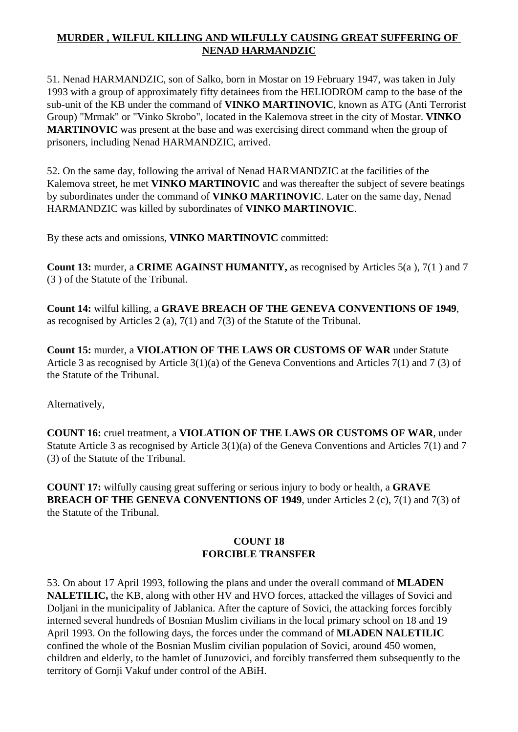## **MURDER , WILFUL KILLING AND WILFULLY CAUSING GREAT SUFFERING OF NENAD HARMANDZIC**

51. Nenad HARMANDZIC, son of Salko, born in Mostar on 19 February 1947, was taken in July 1993 with a group of approximately fifty detainees from the HELIODROM camp to the base of the sub-unit of the KB under the command of **VINKO MARTINOVIC**, known as ATG (Anti Terrorist Group) "Mrmak" or "Vinko Skrobo", located in the Kalemova street in the city of Mostar. **VINKO MARTINOVIC** was present at the base and was exercising direct command when the group of prisoners, including Nenad HARMANDZIC, arrived.

52. On the same day, following the arrival of Nenad HARMANDZIC at the facilities of the Kalemova street, he met **VINKO MARTINOVIC** and was thereafter the subject of severe beatings by subordinates under the command of **VINKO MARTINOVIC**. Later on the same day, Nenad HARMANDZIC was killed by subordinates of **VINKO MARTINOVIC**.

By these acts and omissions, **VINKO MARTINOVIC** committed:

**Count 13:** murder, a **CRIME AGAINST HUMANITY,** as recognised by Articles 5(a ), 7(1 ) and 7 (3 ) of the Statute of the Tribunal.

**Count 14:** wilful killing, a **GRAVE BREACH OF THE GENEVA CONVENTIONS OF 1949**, as recognised by Articles 2 (a), 7(1) and 7(3) of the Statute of the Tribunal.

**Count 15:** murder, a **VIOLATION OF THE LAWS OR CUSTOMS OF WAR** under Statute Article 3 as recognised by Article 3(1)(a) of the Geneva Conventions and Articles 7(1) and 7 (3) of the Statute of the Tribunal.

Alternatively,

**COUNT 16:** cruel treatment, a **VIOLATION OF THE LAWS OR CUSTOMS OF WAR**, under Statute Article 3 as recognised by Article 3(1)(a) of the Geneva Conventions and Articles 7(1) and 7 (3) of the Statute of the Tribunal.

**COUNT 17:** wilfully causing great suffering or serious injury to body or health, a **GRAVE BREACH OF THE GENEVA CONVENTIONS OF 1949**, under Articles 2 (c), 7(1) and 7(3) of the Statute of the Tribunal.

### **COUNT 18 FORCIBLE TRANSFER**

53. On about 17 April 1993, following the plans and under the overall command of **MLADEN NALETILIC,** the KB, along with other HV and HVO forces, attacked the villages of Sovici and Doljani in the municipality of Jablanica. After the capture of Sovici, the attacking forces forcibly interned several hundreds of Bosnian Muslim civilians in the local primary school on 18 and 19 April 1993. On the following days, the forces under the command of **MLADEN NALETILIC** confined the whole of the Bosnian Muslim civilian population of Sovici, around 450 women, children and elderly, to the hamlet of Junuzovici, and forcibly transferred them subsequently to the territory of Gornji Vakuf under control of the ABiH.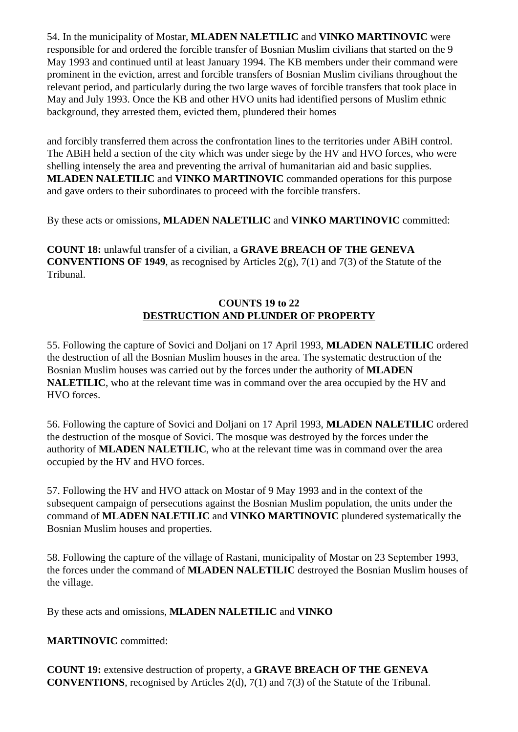54. In the municipality of Mostar, **MLADEN NALETILIC** and **VINKO MARTINOVIC** were responsible for and ordered the forcible transfer of Bosnian Muslim civilians that started on the 9 May 1993 and continued until at least January 1994. The KB members under their command were prominent in the eviction, arrest and forcible transfers of Bosnian Muslim civilians throughout the relevant period, and particularly during the two large waves of forcible transfers that took place in May and July 1993. Once the KB and other HVO units had identified persons of Muslim ethnic background, they arrested them, evicted them, plundered their homes

and forcibly transferred them across the confrontation lines to the territories under ABiH control. The ABiH held a section of the city which was under siege by the HV and HVO forces, who were shelling intensely the area and preventing the arrival of humanitarian aid and basic supplies. **MLADEN NALETILIC** and **VINKO MARTINOVIC** commanded operations for this purpose and gave orders to their subordinates to proceed with the forcible transfers.

By these acts or omissions, **MLADEN NALETILIC** and **VINKO MARTINOVIC** committed:

**COUNT 18:** unlawful transfer of a civilian, a **GRAVE BREACH OF THE GENEVA CONVENTIONS OF 1949**, as recognised by Articles 2(g), 7(1) and 7(3) of the Statute of the Tribunal.

## **COUNTS 19 to 22 DESTRUCTION AND PLUNDER OF PROPERTY**

55. Following the capture of Sovici and Doljani on 17 April 1993, **MLADEN NALETILIC** ordered the destruction of all the Bosnian Muslim houses in the area. The systematic destruction of the Bosnian Muslim houses was carried out by the forces under the authority of **MLADEN NALETILIC**, who at the relevant time was in command over the area occupied by the HV and HVO forces.

56. Following the capture of Sovici and Doljani on 17 April 1993, **MLADEN NALETILIC** ordered the destruction of the mosque of Sovici. The mosque was destroyed by the forces under the authority of **MLADEN NALETILIC**, who at the relevant time was in command over the area occupied by the HV and HVO forces.

57. Following the HV and HVO attack on Mostar of 9 May 1993 and in the context of the subsequent campaign of persecutions against the Bosnian Muslim population, the units under the command of **MLADEN NALETILIC** and **VINKO MARTINOVIC** plundered systematically the Bosnian Muslim houses and properties.

58. Following the capture of the village of Rastani, municipality of Mostar on 23 September 1993, the forces under the command of **MLADEN NALETILIC** destroyed the Bosnian Muslim houses of the village.

By these acts and omissions, **MLADEN NALETILIC** and **VINKO** 

**MARTINOVIC** committed:

**COUNT 19:** extensive destruction of property, a **GRAVE BREACH OF THE GENEVA CONVENTIONS**, recognised by Articles 2(d), 7(1) and 7(3) of the Statute of the Tribunal.